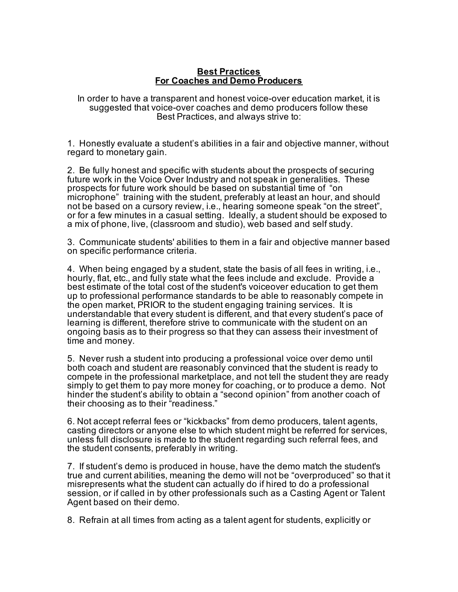## **Best Practices For Coaches and Demo Producers**

In order to have a transparent and honest voice-over education market, it is suggested that voice-over coaches and demo producers follow these Best Practices, and always strive to:

1. Honestly evaluate a student's abilities in a fair and objective manner, without regard to monetary gain.

2. Be fully honest and specific with students about the prospects of securing future work in the Voice Over Industry and not speak in generalities. These prospects for future work should be based on substantial time of "on microphone" training with the student, preferably at least an hour, and should not be based on a cursory review, i.e., hearing someone speak "on the street", or for a few minutes in a casual setting. Ideally, a student should be exposed to a mix of phone, live, (classroom and studio), web based and self study.

3. Communicate students' abilities to them in a fair and objective manner based on specific performance criteria.

4. When being engaged by a student, state the basis of all fees in writing, i.e., hourly, flat, etc., and fully state what the fees include and exclude. Provide a best estimate of the total cost of the student's voiceover education to get them up to professional performance standards to be able to reasonably compete in the open market, PRIOR to the student engaging training services. It is understandable that every student is different, and that every student's pace of learning is different, therefore strive to communicate with the student on an ongoing basis as to their progress so that they can assess their investment of time and money.

5. Never rush a student into producing a professional voice over demo until both coach and student are reasonably convinced that the student is ready to compete in the professional marketplace, and not tell the student they are ready simply to get them to pay more money for coaching, or to produce a demo. Not hinder the student's ability to obtain a "second opinion" from another coach of their choosing as to their "readiness."

6. Not accept referral fees or "kickbacks" from demo producers, talent agents, casting directors or anyone else to which student might be referred for services, unless full disclosure is made to the student regarding such referral fees, and the student consents, preferably in writing.

7. If student's demo is produced in house, have the demo match the student's true and current abilities, meaning the demo will not be "overproduced" so that it misrepresents what the student can actually do if hired to do a professional session, or if called in by other professionals such as a Casting Agent or Talent Agent based on their demo.

8. Refrain at all times from acting as a talent agent for students, explicitly or